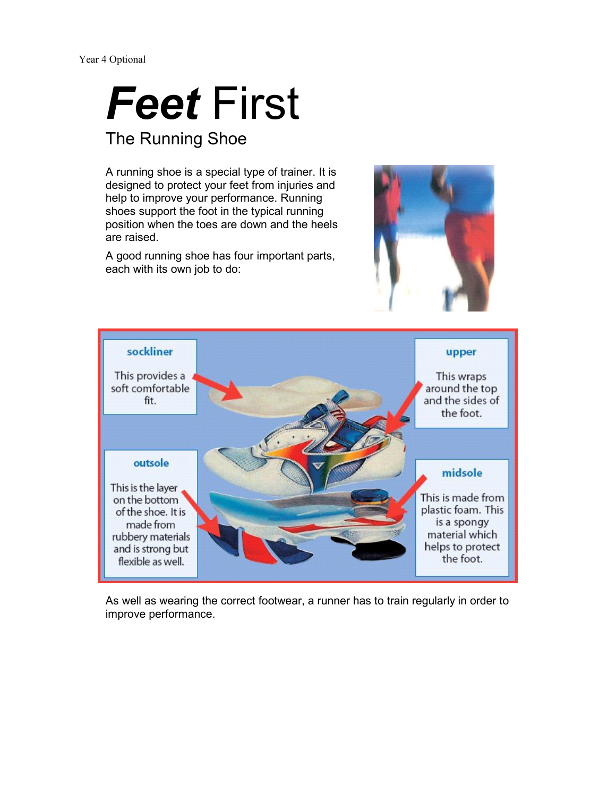# Feet First

#### The Running Shoe

A running shoe is a special type of trainer. It is designed to protect your feet from injuries and help to improve your performance. Running shoes support the foot in the typical running position when the toes are down and the heels are raised.

A good running shoe has four important parts, each with its own job to do:





 As well as wearing the correct footwear, a runner has to train regularly in order to improve performance.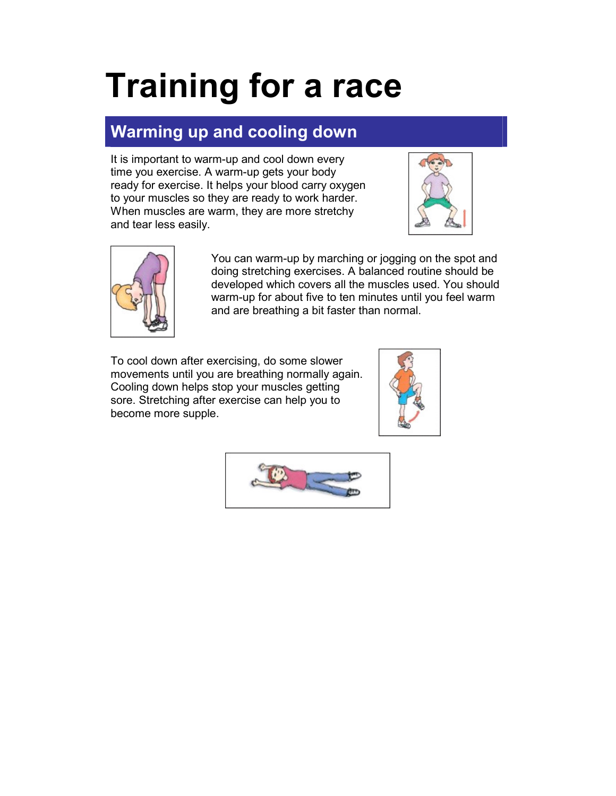## Training for a race

#### Warming up and cooling down

It is important to warm-up and cool down every time you exercise. A warm-up gets your body ready for exercise. It helps your blood carry oxygen to your muscles so they are ready to work harder. When muscles are warm, they are more stretchy and tear less easily.





You can warm-up by marching or jogging on the spot and doing stretching exercises. A balanced routine should be developed which covers all the muscles used. You should warm-up for about five to ten minutes until you feel warm and are breathing a bit faster than normal.

To cool down after exercising, do some slower movements until you are breathing normally again. Cooling down helps stop your muscles getting sore. Stretching after exercise can help you to become more supple.



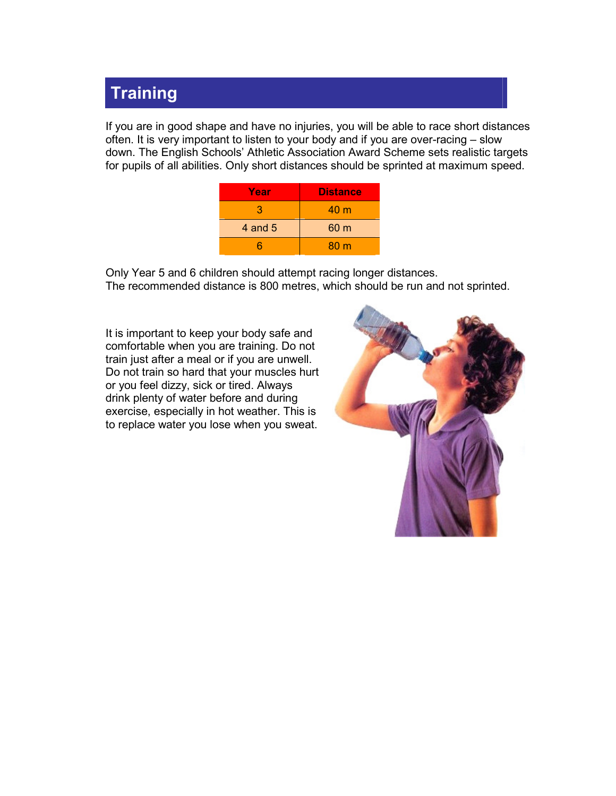#### **Training**

 If you are in good shape and have no injuries, you will be able to race short distances often. It is very important to listen to your body and if you are over-racing – slow down. The English Schools' Athletic Association Award Scheme sets realistic targets for pupils of all abilities. Only short distances should be sprinted at maximum speed.

| Year      | <b>Distance</b> |
|-----------|-----------------|
| З         | 40 <sub>m</sub> |
| 4 and $5$ | 60 <sub>m</sub> |
|           | 80 <sub>m</sub> |

 Only Year 5 and 6 children should attempt racing longer distances. The recommended distance is 800 metres, which should be run and not sprinted.

It is important to keep your body safe and comfortable when you are training. Do not train just after a meal or if you are unwell. Do not train so hard that your muscles hurt or you feel dizzy, sick or tired. Always drink plenty of water before and during exercise, especially in hot weather. This is to replace water you lose when you sweat.